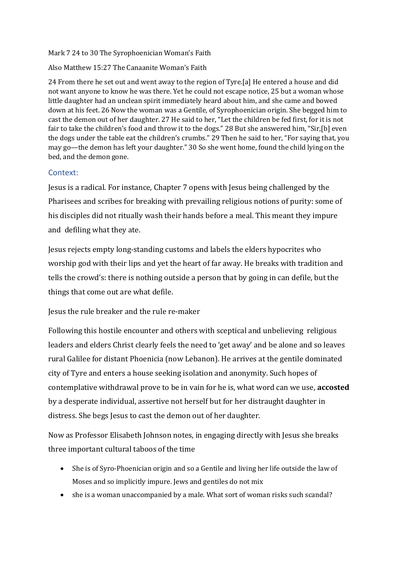#### Mark 7 24 to 30 The Syrophoenician Woman's Faith

### Also Matthew 15:27 The Canaanite Woman's Faith

24 From there he set out and went away to the region of Tyre.[a] He entered a house and did not want anyone to know he was there. Yet he could not escape notice, 25 but a woman whose little daughter had an unclean spirit immediately heard about him, and she came and bowed down at his feet. 26 Now the woman was a Gentile, of Syrophoenician origin. She begged him to cast the demon out of her daughter. 27 He said to her, "Let the children be fed first, for it is not fair to take the children's food and throw it to the dogs." 28 But she answered him, "Sir,[b] even the dogs under the table eat the children's crumbs." 29 Then he said to her, "For saying that, you may go—the demon has left your daughter." 30 So she went home, found the child lying on the bed, and the demon gone.

## Context:

Jesus is a radical. For instance, Chapter 7 opens with Jesus being challenged by the Pharisees and scribes for breaking with prevailing religious notions of purity: some of his disciples did not ritually wash their hands before a meal. This meant they impure and defiling what they ate.

Jesus rejects empty long-standing customs and labels the elders hypocrites who worship god with their lips and yet the heart of far away. He breaks with tradition and tells the crowd's: there is nothing outside a person that by going in can defile, but the things that come out are what defile.

Jesus the rule breaker and the rule re-maker

Following this hostile encounter and others with sceptical and unbelieving religious leaders and elders Christ clearly feels the need to 'get away' and be alone and so leaves rural Galilee for distant Phoenicia (now Lebanon). He arrives at the gentile dominated city of Tyre and enters a house seeking isolation and anonymity. Such hopes of contemplative withdrawal prove to be in vain for he is, what word can we use, **accosted** by a desperate individual, assertive not herself but for her distraught daughter in distress. She begs Jesus to cast the demon out of her daughter.

Now as Professor Elisabeth Johnson notes, in engaging directly with Jesus she breaks three important cultural taboos of the time

- She is of Syro-Phoenician origin and so a Gentile and living her life outside the law of Moses and so implicitly impure. Jews and gentiles do not mix
- she is a woman unaccompanied by a male. What sort of woman risks such scandal?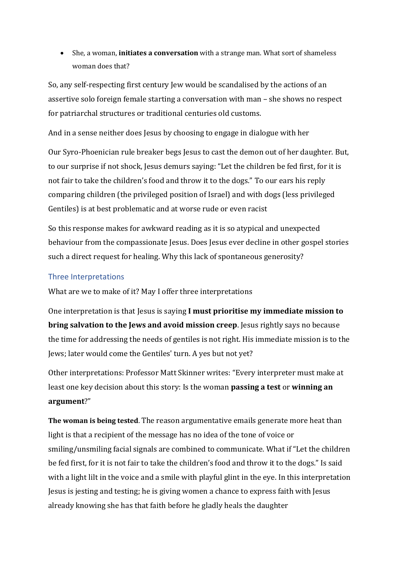• She, a woman, **initiates a conversation** with a strange man. What sort of shameless woman does that?

So, any self-respecting first century Jew would be scandalised by the actions of an assertive solo foreign female starting a conversation with man – she shows no respect for patriarchal structures or traditional centuries old customs.

And in a sense neither does Jesus by choosing to engage in dialogue with her

Our Syro-Phoenician rule breaker begs Jesus to cast the demon out of her daughter. But, to our surprise if not shock, Jesus demurs saying: "Let the children be fed first, for it is not fair to take the children's food and throw it to the dogs." To our ears his reply comparing children (the privileged position of Israel) and with dogs (less privileged Gentiles) is at best problematic and at worse rude or even racist

So this response makes for awkward reading as it is so atypical and unexpected behaviour from the compassionate Jesus. Does Jesus ever decline in other gospel stories such a direct request for healing. Why this lack of spontaneous generosity?

# Three Interpretations

What are we to make of it? May I offer three interpretations

One interpretation is that Jesus is saying **I must prioritise my immediate mission to bring salvation to the Jews and avoid mission creep**. Jesus rightly says no because the time for addressing the needs of gentiles is not right. His immediate mission is to the Jews; later would come the Gentiles' turn. A yes but not yet?

Other interpretations: Professor Matt Skinner writes: "Every interpreter must make at least one key decision about this story: Is the woman **passing a test** or **winning an argument**?"

**The woman is being tested**. The reason argumentative emails generate more heat than light is that a recipient of the message has no idea of the tone of voice or smiling/unsmiling facial signals are combined to communicate. What if "Let the children be fed first, for it is not fair to take the children's food and throw it to the dogs." Is said with a light lilt in the voice and a smile with playful glint in the eye. In this interpretation Jesus is jesting and testing; he is giving women a chance to express faith with Jesus already knowing she has that faith before he gladly heals the daughter